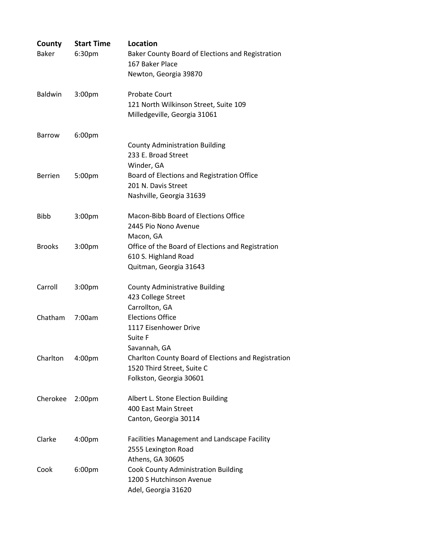| County<br><b>Baker</b> | <b>Start Time</b><br>6:30pm | <b>Location</b><br>Baker County Board of Elections and Registration<br>167 Baker Place<br>Newton, Georgia 39870 |
|------------------------|-----------------------------|-----------------------------------------------------------------------------------------------------------------|
| <b>Baldwin</b>         | 3:00 <sub>pm</sub>          | <b>Probate Court</b><br>121 North Wilkinson Street, Suite 109<br>Milledgeville, Georgia 31061                   |
| Barrow                 | 6:00pm                      | <b>County Administration Building</b><br>233 E. Broad Street                                                    |
| <b>Berrien</b>         | 5:00pm                      | Winder, GA<br>Board of Elections and Registration Office<br>201 N. Davis Street<br>Nashville, Georgia 31639     |
| <b>Bibb</b>            | 3:00pm                      | Macon-Bibb Board of Elections Office<br>2445 Pio Nono Avenue<br>Macon, GA                                       |
| <b>Brooks</b>          | 3:00 <sub>pm</sub>          | Office of the Board of Elections and Registration<br>610 S. Highland Road<br>Quitman, Georgia 31643             |
| Carroll                | 3:00 <sub>pm</sub>          | <b>County Administrative Building</b><br>423 College Street<br>Carrollton, GA                                   |
| Chatham                | 7:00am                      | <b>Elections Office</b><br>1117 Eisenhower Drive<br>Suite F<br>Savannah, GA                                     |
| Charlton               | 4:00 <sub>pm</sub>          | Charlton County Board of Elections and Registration<br>1520 Third Street, Suite C<br>Folkston, Georgia 30601    |
| Cherokee               | 2:00 <sub>pm</sub>          | Albert L. Stone Election Building<br>400 East Main Street<br>Canton, Georgia 30114                              |
| Clarke                 | 4:00pm                      | Facilities Management and Landscape Facility<br>2555 Lexington Road<br>Athens, GA 30605                         |
| Cook                   | 6:00pm                      | Cook County Administration Building<br>1200 S Hutchinson Avenue<br>Adel, Georgia 31620                          |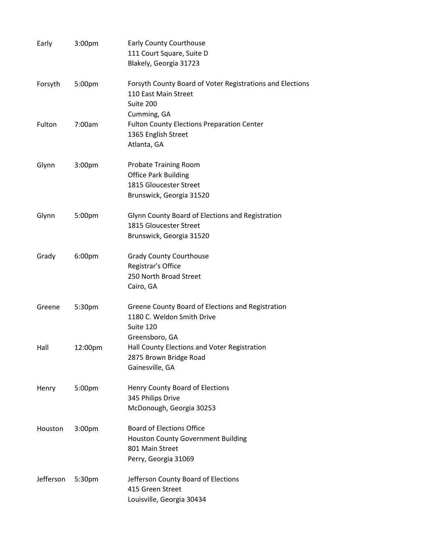| Early     | 3:00 <sub>pm</sub> | <b>Early County Courthouse</b><br>111 Court Square, Suite D<br>Blakely, Georgia 31723                                    |
|-----------|--------------------|--------------------------------------------------------------------------------------------------------------------------|
| Forsyth   | 5:00pm             | Forsyth County Board of Voter Registrations and Elections<br>110 East Main Street<br>Suite 200                           |
| Fulton    | 7:00am             | Cumming, GA<br><b>Fulton County Elections Preparation Center</b><br>1365 English Street<br>Atlanta, GA                   |
| Glynn     | 3:00 <sub>pm</sub> | <b>Probate Training Room</b><br><b>Office Park Building</b><br>1815 Gloucester Street<br>Brunswick, Georgia 31520        |
| Glynn     | 5:00pm             | Glynn County Board of Elections and Registration<br>1815 Gloucester Street<br>Brunswick, Georgia 31520                   |
| Grady     | 6:00pm             | <b>Grady County Courthouse</b><br>Registrar's Office<br>250 North Broad Street<br>Cairo, GA                              |
| Greene    | 5:30pm             | Greene County Board of Elections and Registration<br>1180 C. Weldon Smith Drive<br>Suite 120                             |
| Hall      | 12:00pm            | Greensboro, GA<br>Hall County Elections and Voter Registration<br>2875 Brown Bridge Road<br>Gainesville, GA              |
| Henry     | 5:00pm             | Henry County Board of Elections<br>345 Philips Drive<br>McDonough, Georgia 30253                                         |
| Houston   | 3:00 <sub>pm</sub> | <b>Board of Elections Office</b><br><b>Houston County Government Building</b><br>801 Main Street<br>Perry, Georgia 31069 |
| Jefferson | 5:30pm             | Jefferson County Board of Elections<br>415 Green Street<br>Louisville, Georgia 30434                                     |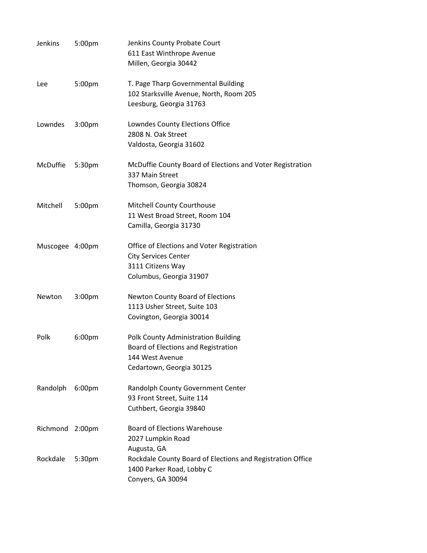| Jenkins         | 5:00pm             | Jenkins County Probate Court<br>611 East Winthrope Avenue<br>Millen, Georgia 30442                                        |
|-----------------|--------------------|---------------------------------------------------------------------------------------------------------------------------|
| Lee             | 5:00pm             | T. Page Tharp Governmental Building<br>102 Starksville Avenue, North, Room 205<br>Leesburg, Georgia 31763                 |
| Lowndes         | 3:00 <sub>pm</sub> | Lowndes County Elections Office<br>2808 N. Oak Street<br>Valdosta, Georgia 31602                                          |
| McDuffie        | 5:30pm             | McDuffie County Board of Elections and Voter Registration<br>337 Main Street<br>Thomson, Georgia 30824                    |
| Mitchell        | 5:00pm             | <b>Mitchell County Courthouse</b><br>11 West Broad Street, Room 104<br>Camilla, Georgia 31730                             |
| Muscogee 4:00pm |                    | Office of Elections and Voter Registration<br><b>City Services Center</b><br>3111 Citizens Way<br>Columbus, Georgia 31907 |
| Newton          | 3:00 <sub>pm</sub> | <b>Newton County Board of Elections</b><br>1113 Usher Street, Suite 103<br>Covington, Georgia 30014                       |
| Polk            | 6:00pm             | Polk County Administration Building<br>Board of Elections and Registration<br>144 West Avenue<br>Cedartown, Georgia 30125 |
| Randolph        | 6:00pm             | Randolph County Government Center<br>93 Front Street, Suite 114<br>Cuthbert, Georgia 39840                                |
| Richmond        | 2:00 <sub>pm</sub> | <b>Board of Elections Warehouse</b><br>2027 Lumpkin Road<br>Augusta, GA                                                   |
| Rockdale        | 5:30pm             | Rockdale County Board of Elections and Registration Office<br>1400 Parker Road, Lobby C<br>Conyers, GA 30094              |